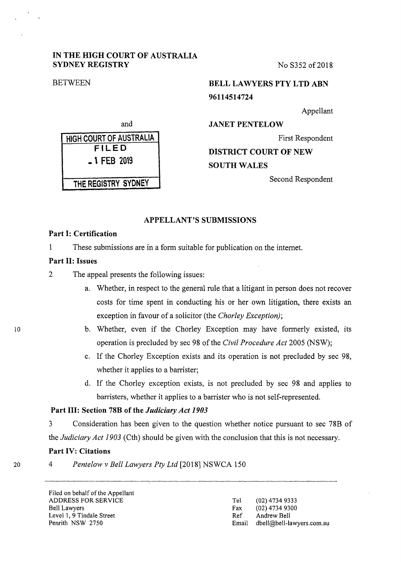### **IN THE HIGH COURT OF AUSTRALIA SYDNEY REGISTRY** No S352 of 2018

# **BETWEEN BELL LAWYERS PTY LTD ABN 96114514724**

Appellant

**JANET PENTELOW** 

First Respondent

**DISTRICT COURT OF NEW** 

**SOUTH WALES** 

Second Respondent

### **APPELLANT'S SUBMISSIONS**

## **Part I: Certification**

1 These submissions are in a form suitable for publication on the internet.

### **Part II: Issues**

2 The appeal presents the following issues:

- a. Whether, in respect to the general rule that a litigant in person does not recover costs for time spent in conducting his or her own litigation, there exists an exception in favour of a solicitor (the *Chorley Exception);*
- b. Whether, even if the Chorley Exception may have formerly existed, its operation is precluded by sec 98 of the *Civil Procedure Act* 2005 (NSW);
- c. If the Chorley Exception exists and its operation is not precluded by sec 98, whether it applies to a barrister;
- d. If the Chorley exception exists, is not precluded by sec 98 and applies to barristers, whether it applies to a barrister who is not self-represented.

### **Part III: Section 78B of the** *Judiciary Act 1903*

3 Consideration has been given to the question whether notice pursuant to sec 78B of the *Judiciary Act 1903* (Cth) should be given with the conclusion that this is not necessary.

### **Part IV: Citations**

4 *Pentelow v Bell Lawyers Pty Ltd* [2018] NSWCA 150

Filed on behalf of the Appellant ADDRESS FOR SERVICE Bell Lawyers Level 1, 9 Tindale Street Penrith NSW 2750

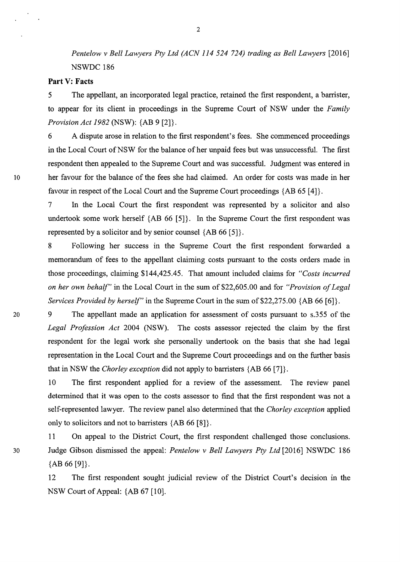*Pentelow v Bell Lawyers Pty Ltd (ACN 114 524 724) trading as Bell Lawyers* [2016] NSWDC 186

### **Part V: Facts**

5 The appellant, an incorporated legal practice, retained the first respondent, a barrister, to appear for its client in proceedings in the Supreme Court of NSW under the *Family Provision Act 1982* (NSW): {AB 9 [2]}.

6 A dispute arose in relation to the first respondent's fees. She commenced proceedings in the Local Court of NSW for the balance of her unpaid fees but was unsuccessful. The first respondent then appealed to the Supreme Court and was successful. Judgment was entered in 10 her favour for the balance of the fees she had claimed. An order for costs was made in her favour in respect of the Local Court and the Supreme Court proceedings  ${AB 65 [4]}$ .

> 7 In the Local Court the first respondent was represented by a solicitor and also undertook some work herself  ${AB 66 [5]}$ . In the Supreme Court the first respondent was represented by a solicitor and by senior counsel  ${AB 66 [5]}$ .

> 8 Following her success in the Supreme Court the first respondent forwarded a memorandum of fees to the appellant claiming costs pursuant to the costs orders made in those proceedings, claiming \$144,425.45. That amount included claims for *"Costs incurred on her own behalf"* in the Local Court in the sum of \$22,605.00 and for *"Provision of Legal Services Provided by herself"* in the Supreme Court in the sum of \$22,275.00 {AB 66 [6]}.

20 9 The appellant made an application for assessment of costs pursuant to s.355 of the *Legal Profession Act* 2004 (NSW). The costs assessor rejected the claim by the first respondent for the legal work she personally undertook on the basis that she had legal representation in the Local Court and the Supreme Court proceedings and on the further basis that in NSW the *Chorley exception* did not apply to barristers {AB 66 [7]}.

> 10 The first respondent applied for a review of the assessment. The review panel determined that it was open to the costs assessor to find that the first respondent was not a self-represented lawyer. The review panel also determined that the *Chorley exception* applied only to solicitors and not to barristers {AB 66 [8]}.

11 On appeal to the District Court, the first respondent challenged those conclusions. 30 Judge Gibson dismissed the appeal: *Pentelow v Bell Lawyers Pty Ltd* [2016] NSWDC 186  ${AB 66 [9]}$ .

> 12 The first respondent sought judicial review of the District Court's decision in the NSW Court of Appeal: {AB 67 [10].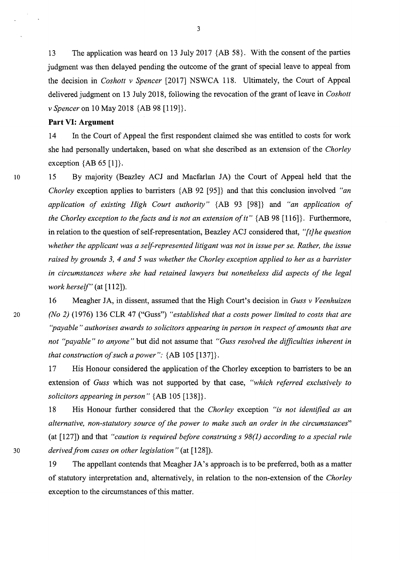13 The application was heard on 13 July 2017 {AB 58}. With the consent of the parties judgment was then delayed pending the outcome of the grant of special leave to appeal from the decision in *Coshott v Spencer* [2017] NSWCA 118. Ultimately, the Court of Appeal delivered judgment on 13 July 2018, following the revocation of the grant of leave in *Coshott v Spencer* on 10 May 2018 {AB 98 [119]}.

### **Part VI: Argument**

14 In the Court of Appeal the first respondent claimed she was entitled to costs for work she had personally undertaken, based on what she described as an extension of the *Chorley*  exception  ${AB 65 [1]}$ .

10 15 By majority (Beazley ACJ and Macfarlan JA) the Court of Appeal held that the *Chorley* exception applies to barristers {AB 92 [95]} and that this conclusion involved *"an application of existing High Court authority"* {AB 93 [98]} and *"an application of the Chorley exception to the facts and is not an extension of it"* { AB 98 [ 116]}. Furthermore, in relation to the question of self-representation, Beazley ACJ considered that, "[t] *he question whether the applicant was a self-represented litigant was not in issue per se. Rather, the issue raised by grounds 3, 4 and 5 was whether the Chorley exception applied to her as a barrister in circumstances where she had retained lawyers but nonetheless did aspects of the legal work herself"* (at [112]).

16 Meagher JA, in dissent, assumed that the High Court's decision in *Guss v Veenhuizen*  20 *(No 2)* (1976) 136 CLR 47 ("Guss") *"established that a costs power limited to costs that are ''payable" authorises awards to solicitors appearing in person in respect of amounts that are not ''payable" to anyone"* but did not assume that *"Guss resolved the difficulties inherent in that construction of such a power":* {AB 105 [137]}.

> 17 His Honour considered the application of the Chorley exception to barristers to be an extension of *Guss* which was not supported by that case, *"which referred exclusively to solicitors appearing in person"* {AB 105 [138]}.

18 His Honour further considered that the *Chorley* exception *"is not identified as an alternative, non-statutory source of the power to make such an order in the circumstances"*  (at [127]) and that *"caution is required before construing s 98(1) according to a special rule*  30 *derived from cases on other legislation"* (at [128]).

> 19 The appellant contends that Meagher JA's approach is to be preferred, both as a matter of statutory interpretation and, alternatively, in relation to the non-extension of the *Chorley*  exception to the circumstances of this matter.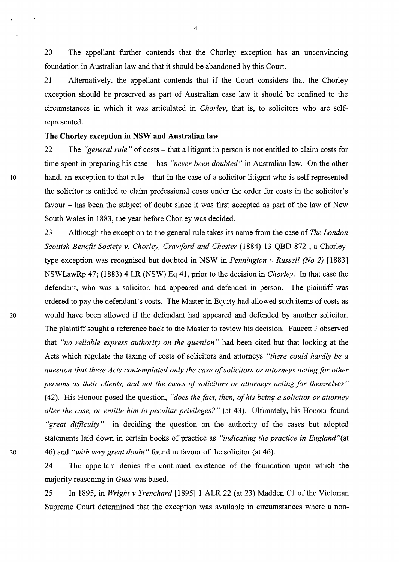20 The appellant further contends that the Chorley exception has an unconvincing foundation in Australian law and that it should be abandoned by this Court.

21 Alternatively, the appellant contends that if the Court considers that the Chorley exception should be preserved as part of Australian case law it should be confined to the circumstances in which it was articulated in *Chorley,* that is, to solicitors who are selfrepresented.

### **The Chorley exception** in **NSW and Australian law**

22 The *"general rule"* of costs – that a litigant in person is not entitled to claim costs for time spent in preparing his case - has *"never been doubted"* in Australian law. On the other 10 hand, an exception to that rule - that in the case of a solicitor litigant who is self-represented the solicitor is entitled to claim professional costs under the order for costs in the solicitor's favour – has been the subject of doubt since it was first accepted as part of the law of New South Wales in 1883, the year before Chorley was decided.

23 Although the exception to the general rule takes its name from the case of *The London Scottish Benefit Society v. Chorley, Crawford and Chester* (1884) 13 QBD 872 , a Chorleytype exception was recognised but doubted in NSW in *Pennington v Russell (No 2)* [1883] NSWLawRp 47; (1883) 4 LR (NSW) Eq 41, prior to the decision in *Chorley.* In that case the defendant, who was a solicitor, had appeared and defended in person. The plaintiff was ordered to pay the defendant's costs. The Master in Equity had allowed such items of costs as <sup>20</sup>would have been allowed if the defendant had appeared and defended by another solicitor. The plaintiff sought a reference back to the Master to review his decision. Faucett J observed that *"no reliable express authority on the question"* had been cited but that looking at the Acts which regulate the taxing of costs of solicitors and attorneys *"there could hardly be a question that these Acts contemplated only the case of solicitors or attorneys acting for other persons as their clients, and not the cases of solicitors or attorneys acting for themselves"*  ( 42). His Honour posed the question, *"does the fact, then, of his being a solicitor or attorney alter the case, or entitle him to peculiar privileges?"* (at 43). Ultimately, his Honour found *"great difficulty"* in deciding the question on the authority of the cases but adopted statements laid down in certain books of practice as *"indicating the practice in England"(* at 30 46) and *"with very great doubt"* found in favour of the solicitor (at 46).

> 24 The appellant denies the continued existence of the foundation upon which the majority reasoning in *Guss* was based.

> 25 In 1895, in *Wright v Trenchard* [1895] 1 ALR 22 (at 23) Madden CJ of the Victorian Supreme Court determined that the exception was available in circumstances where a non-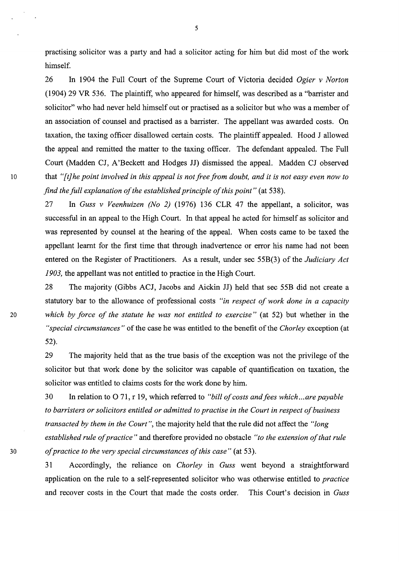practising solicitor was a party and had a solicitor acting for him but did most of the work himself.

26 In 1904 the Full Court of the Supreme Court of Victoria decided *Ogier v Norton*  (1904) 29 VR 536. The plaintiff, who appeared for himself, was described as a "barrister and solicitor" who had never held himself out or practised as a solicitor but who was a member of an association of counsel and practised as a barrister. The appellant was awarded costs. On taxation, the taxing officer disallowed certain costs. The plaintiff appealed. Hood J allowed the appeal and remitted the matter to the taxing officer. The defendant appealed. The Full Court (Madden CJ, A'Beckett and Hodges JJ) dismissed the appeal. Madden CJ observed 10 that *"[t} he point involved in this appeal is not free from doubt, and it is not easy even now to find the full explanation of the established principle of this point"* (at 538).

> 27 In *Guss v Veenhuizen (No 2)* (1976) 136 CLR 47 the appellant, a solicitor, was successful in an appeal to the High Court. In that appeal he acted for himself as solicitor and was represented by counsel at the hearing of the appeal. When costs came to be taxed the appellant learnt for the first time that through inadvertence or error his name had not been entered on the Register of Practitioners. As a result, under sec 55B(3) of the *Judiciary Act 1903,* the appellant was not entitled to practice in the High Court.

28 The majority (Gibbs ACJ, Jacobs and Aickin JJ) held that sec 55B did not create a statutory bar to the allowance of professional costs *"in respect of work done in a capacity*  <sup>20</sup>*which by force of the statute he was not entitled to exercise"* (at 52) but whether in the *"special circumstances"* of the case he was entitled to the benefit of the *Chorley* exception (at 52).

> 29 The majority held that as the true basis of the exception was not the privilege of the solicitor but that work done by the solicitor was capable of quantification on taxation, the solicitor was entitled to claims costs for the work done by him.

30 In relation to O 71, r 19, which referred to *"bill of costs and fees which ... are payable to barristers or solicitors entitled or admitted to practise in the Court in respect of business transacted by them in the Court",* the majority held that the rule did not affect the *"long established rule of practice"* and therefore provided no obstacle *"to the extension of that rule*  <sup>30</sup>*of practice to the very special circumstances of this case"* (at 53).

> 31 Accordingly, the reliance on *Chorley* in *Guss* went beyond a straightforward application on the rule to a self-represented solicitor who was otherwise entitled to *practice*  and recover costs in the Court that made the costs order. This Court's decision in *Guss*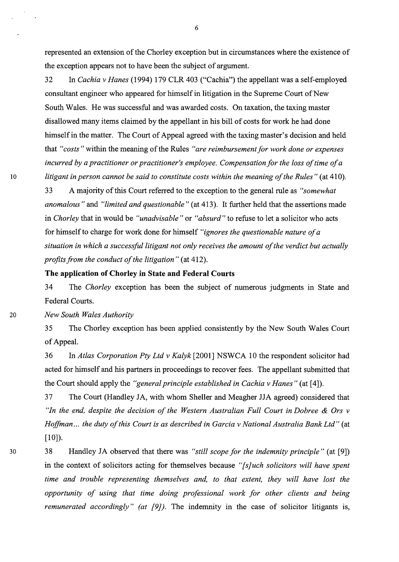represented an extension of the Chorley exception but in circumstances where the existence of the exception appears not to have been the subject of argument.

32 In *Cachia v Hanes* (1994) 179 CLR 403 ("Cachia") the appellant was a self-employed consultant engineer who appeared for himself in litigation in the Supreme Court of New South Wales. He was successful and was awarded costs. On taxation, the taxing master disallowed many items claimed by the appellant in his bill of costs for work he had done himself in the matter. The Court of Appeal agreed with the taxing master's decision and held that *"costs"* within the meaning of the Rules *"are reimbursement for work done or expenses incurred by a practitioner or practitioner's employee. Compensation for the loss of time of a*  <sup>10</sup>*litigant in person cannot be said to constitute costs within the meaning of the Rules"* (at 410).

> 33 A majority of this Court referred to the exception to the general rule as *"somewhat anomalous"* and *"limited and questionable"* (at 413). It further held that the assertions made in *Chorley* that in would be *"unadvisable"* or *"absurd"* to refuse to let a solicitor who acts for himself to charge for work done for himself *"ignores the questionable nature of a situation in which a successful litigant not only receives the amount of the verdict but actually profits from the conduct of the litigation"* (at 412).

### **The application of Chorley in State and Federal Courts**

34 The *Chorley* exception has been the subject of numerous judgments in State and Federal Courts.

20 *New South Wales Authority* 

35 The Chorley exception has been applied consistently by the New South Wales Court of Appeal.

36 In *Atlas Corporation Pty Ltd v Kalyk* [2001] NSWCA 10 the respondent solicitor had acted for himself and his partners in proceedings to recover fees. The appellant submitted that the Court should apply the *"general principle established in Cachia v Hanes"* (at [ 4]).

37 The Court (Handley JA, with whom Sheller and Meagher JJA agreed) considered that *"Jn the end, despite the decision of the Western Australian Full Court in Dobree & Ors v Hoffman ... the duty of this Court is as described in Garcia v National Australia Bank Ltd"* (at  $[10]$ ).

30

38 Handley JA observed that there was *"still scope for the indemnity principle"* (at [9]) in the context of solicitors acting for themselves because *"[s]uch solicitors will have spent time and trouble representing themselves and, to that extent, they will have lost the opportunity of using that time doing professional work for other clients and being remunerated accordingly" (at [9])*. The indemnity in the case of solicitor litigants is,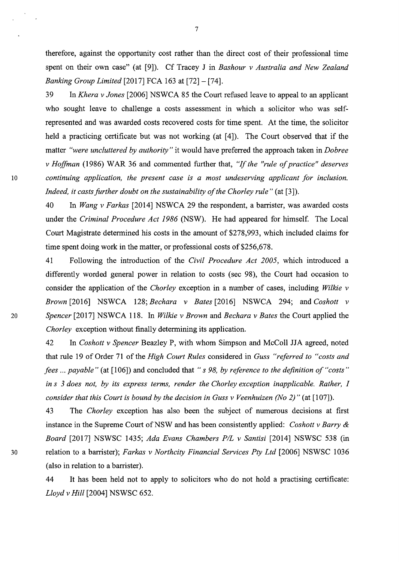therefore, against the opportunity cost rather than the direct cost of their professional time spent on their own case" (at [9]). Cf Tracey J in *Bashour v Australia and New Zealand Banking Group Limited* [2017] FCA 163 at [72] - [74].

39 In *Khera v Jones* [2006] NSWCA 85 the Court refused leave to appeal to an applicant who sought leave to challenge a costs assessment in which a solicitor who was selfrepresented and was awarded costs recovered costs for time spent. At the time, the solicitor held a practicing certificate but was not working (at [4]). The Court observed that if the matter *"were uncluttered by authority"* it would have preferred the approach taken in *Dobree v Hoffman* (1986) WAR 36 and commented further that, "If *the "rule of practice" deserves*  10 *continuing application, the present case is a most undeserving applicant for inclusion. Indeed, it casts further doubt on the sustainability of the Chorley rule"* (at [3]).

> 40 In *Wang v Farkas* [2014] NSWCA 29 the respondent, a barrister, was awarded costs under the *Criminal Procedure Act 1986* (NSW). He had appeared for himself. The Local Court Magistrate determined his costs in the amount of \$278,993, which included claims for time spent doing work in the matter, or professional costs of \$256,678.

41 Following the introduction of the *Civil Procedure Act 2005,* which introduced a differently worded general power in relation to costs (sec 98), the Court had occasion to consider the application of the *Chorley* exception in a number of cases, including *Wilkie v Brown* [2016] NSWCA 128; *Bechara v Bates* [2016] NSWCA 294; and *Cashatt v*  20 *Spencer* [2017] NSWCA 118. In *Wilkie v Brown* and *Bechara v Bates* the Court applied the *Chorley* exception without finally determining its application.

42 In *Cashatt v Spencer* Beazley P, with whom Simpson and McColl JJA agreed, noted that rule 19 of Order 71 of the *High Court Rules* considered in *Guss "referred to "costs and fees ... payable"* (at [106]) and concluded that *"s 98, by reference to the definition of "costs" in s 3 does not, by its express terms, render the Chorley exception inapplicable. Rather, I consider that this Court is bound by the decision in Guss v Veenhuizen (No 2)"* (at [107]).

43 The *Chorley* exception has also been the subject of numerous decisions at first instance in the Supreme Court of NSW and has been consistently applied: *Coshott v Barry & Board* [2017] NSWSC 1435; *Ada Evans Chambers PIL v Santisi* [2014] NSWSC 538 (in 30 relation to a barrister); *Farkas v Northcity Financial Services Pty Ltd* [2006] NSWSC 1036 (also in relation to a barrister).

> 44 It has been held not to apply to solicitors who do not hold a practising certificate: *Lloyd v Hill* [2004] NSWSC 652.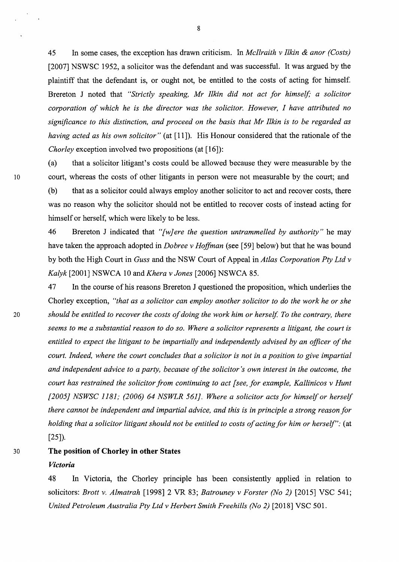45 In some cases, the exception has drawn criticism. In *Mcllraith v Itkin & anor (Costs)*  [2007] NSWSC 1952, a solicitor was the defendant and was successful. It was argued by the plaintiff that the defendant is, or ought not, be entitled to the costs of acting for himself. Brereton J noted that *"Strictly speaking, Mr Itkin did not act for himself; a solicitor corporation of which he is the director was the solicitor. However, I have attributed no significance to this distinction, and proceed on the basis that Mr Itkin is to be regarded as having acted as his own solicitor*" (at [11]). His Honour considered that the rationale of the *Chorley* exception involved two propositions (at [16]):

(a) that a solicitor litigant's costs could be allowed because they were measurable by the 10 court, whereas the costs of other litigants in person were not measurable by the court; and (b) that as a solicitor could always employ another solicitor to act and recover costs, there was no reason why the solicitor should not be entitled to recover costs of instead acting for himself or herself, which were likely to be less.

> 46 Brereton J indicated that *"[w} ere the question untrammelled by authority"* he may have taken the approach adopted in *Dobree v Hoffman* (see [59] below) but that he was bound by both the High Court in *Guss* and the NSW Court of Appeal in *Atlas Corporation Pty Ltd v Kalyk* [2001] NSWCA 10 and *Khera v Jones* [2006] NSWCA 85.

47 In the course of his reasons Brereton J questioned the proposition, which underlies the Chorley exception, *"that as a solicitor can employ another solicitor to do the work he or she*  <sup>20</sup>*should be entitled to recover the costs of doing the work him or herself. To the contrary, there seems to me a substantial reason to do so. Where a solicitor represents a litigant, the court is entitled to expect the litigant to be impartially and independently advised by an officer of the court. Indeed, where the court concludes that a solicitor is not in a position to give impartial and independent advice to a party, because of the solicitor's own interest in the outcome, the court has restrained the solicitor from continuing to act [see, for example, Kallinicos v Hunt [2005} NSWSC 1181; (2006) 64 NSWLR 561}. Where a solicitor acts for himself or herself there cannot be independent and impartial advice, and this is in principle a strong reason for holding that a solicitor litigant should not be entitled to costs of acting for him or herself":* (at [25]).

#### 30 **The position of Chorley in other States**

#### *Victoria*

48 In Victoria, the Chorley principle has been consistently applied in relation to solicitors: *Brott v. Almatrah* [1998] 2 VR 83; *Batrouney v Forster (No 2)* [2015] VSC 541; *United Petroleum Australia Pty Ltd v Herbert Smith Freehills (No 2)* [2018] VSC 501.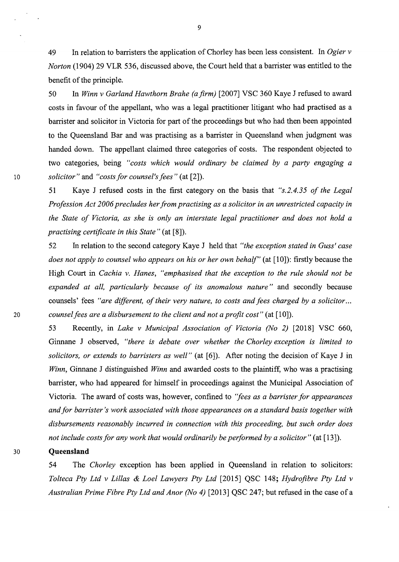49 In relation to barristers the application of Chorley has been less consistent. In *Ogier v Norton* (1904) 29 VLR 536, discussed above, the Court held that a barrister was entitled to the benefit of the principle.

50 In *Winn v Garland Hawthorn Brahe (a firm)* [2007] VSC 360 Kaye J refused to award costs in favour of the appellant, who was a legal practitioner litigant who had practised as a barrister and solicitor in Victoria for part of the proceedings but who had then been appointed to the Queensland Bar and was practising as a barrister in Queensland when judgment was handed down. The appellant claimed three categories of costs. The respondent objected to two categories, being *"costs which would ordinary be claimed by a party engaging a*  10 *solicitor"* and *"costs for counsel's fees"* (at [2]).

> 51 Kaye J refused costs in the first category on the basis that *"s.2.4.35 of the Legal Profession Act 2006 precludes her from practising as a solicitor in an unrestricted capacity in the State of Victoria, as she is only an interstate legal practitioner and does not hold a practising certificate in this State"* (at [8]).

52 In relation to the second category Kaye J held that *"the exception stated in Guss' case does not apply to counsel who appears on his or her own behalf"* (at [10]): firstly because the High Court in *Cachia v. Hanes, "emphasised that the exception to the rule should not be expanded at all, particularly because of its anomalous nature"* and secondly because counsels' fees *"are different, of their very nature, to costs and fees charged by a solicitor ...*  20 *counsel fees are a disbursement to the client and not a profit cost"* (at [10]).

53 Recently, in *Lake v Municipal Association of Victoria (No 2)* [2018] VSC 660, Ginnane J observed, *"there is debate over whether the Chorley exception is limited to solicitors, or extends to barristers as well"* (at [6]). After noting the decision of Kaye J in *Winn,* Ginnane J distinguished *Winn* and awarded costs to the plaintiff, who was a practising barrister, who had appeared for himself in proceedings against the Municipal Association of Victoria. The award of costs was, however, confined to *'fees as a barrister for appearances and for barrister's work associated with those appearances on a standard basis together with disbursements reasonably incurred in connection with this proceeding, but such order does not include costs for any work that would ordinarily be performed by a solicitor* " (at [13]).

#### 30 **Queensland**

54 The *Chorley* exception has been applied in Queensland in relation to solicitors: *Tolteca Pty Ltd v Lillas & Lael Lawyers Pty Ltd* [2015] QSC 148; *Hydrofibre Pty Ltd v Australian Prime Fibre Pty Ltd and Anor (No 4)* [2013] QSC 247; but refused in the case of a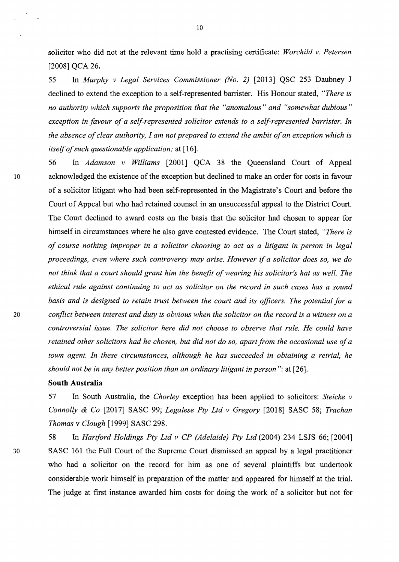solicitor who did not at the relevant time hold a practising certificate: *Worchild v. Petersen*  [2008] QCA 26.

55 In *Murphy v Legal Services Commissioner (No. 2)* [2013] QSC 253 Daubney J declined to extend the exception to a self-represented barrister. His Honour stated, *"There is no authority which supports the proposition that the "anomalous" and "somewhat dubious" exception in favour of a self-represented solicitor extends to a self-represented barrister. In the absence of clear authority, I am not prepared to extend the ambit of an exception which is itself of such questionable application:* at [ 16].

56 In *Adamson v Williams* [2001] QCA 38 the Queensland Court of Appeal 10 acknowledged the existence of the exception but declined to make an order for costs in favour of a solicitor litigant who had been self-represented in the Magistrate's Court and before the Court of Appeal but who had retained counsel in an unsuccessful appeal to the District Court. The Court declined to award costs on the basis that the solicitor had chosen to appear for himself in circumstances where he also gave contested evidence. The Court stated, *"There is of course nothing improper in a solicitor choosing to act as a litigant in person in legal proceedings, even where such controversy may arise. However* if *a solicitor does so, we do not think that a court should grant him the benefit of wearing his solicitor's hat as well. The ethical rule against continuing to act as solicitor on the record in such cases has a sound basis and is designed to retain trust between the court and its officers. The potential for a*  20 *conflict between interest and duty is obvious when the solicitor on the record is a witness on a controversial issue. The solicitor here did not choose to observe that rule. He could have retained other solicitors had he chosen, but did not do so, apart from the occasional use of a town agent. In these circumstances, although he has succeeded in obtaining a retrial, he should not be in any better position than an ordinary litigant in person":* at [26].

#### **South Australia**

57 In South Australia, the *Chorley* exception has been applied to solicitors: *Steicke v Connolly & Co* [2017] SASC 99; *Legalese Pty Ltd v Gregory* [2018] SASC 58; *Trachan Thomas* v *Clough* [1999] SASC 298.

58 In *Hartford Holdings Pty Ltd v CP (Adelaide) Pty Ltd* (2004) 234 LSJS 66; [2004] 30 SASC 161 the Full Court of the Supreme Court dismissed an appeal by a legal practitioner who had a solicitor on the record for him as one of several plaintiffs but undertook considerable work himself in preparation of the matter and appeared for himself at the trial. The judge at first instance awarded him costs for doing the work of a solicitor but not for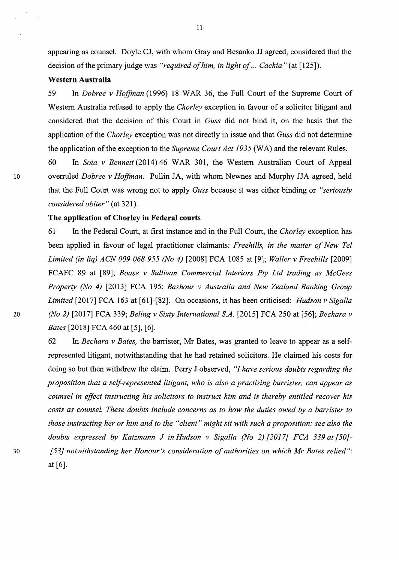appearing as counsel. Doyle CJ, with whom Gray and Besanko JJ agreed, considered that the decision of the primary judge was *"required of him, in light of ... Cachia"* (at [125]).

#### **Western Australia**

59 In *Dobree v Hoffman* (1996) 18 WAR 36, the Full Court of the Supreme Court of Western Australia refused to apply the *Chorley* exception in favour of a solicitor litigant and considered that the decision of this Court in *Guss* did not bind it, on the basis that the application of the *Chorley* exception was not directly in issue and that *Guss* did not determine the application of the exception to the *Supreme Court Act 1935* (WA) and the relevant Rules.

60 In *Saia v Bennett* (2014) 46 WAR 301, the Western Australian Court of Appeal 10 overruled *Dobree v Hoffman.* Pullin JA, with whom Newnes and Murphy JJA agreed, held that the Full Court was wrong not to apply *Guss* because it was either binding or *"seriously considered obiter"* (at 321).

### **The application of Chorley in Federal courts**

61 In the Federal Court, at first instance and in the Full Court, the *Chorley* exception has been applied in favour of legal practitioner claimants: *Freehills, in the matter of New Tel Limited (in liq) ACN 009 068 955 (No 4)* [2008] FCA 1085 at [9]; *Waller v Freehills* [2009] FCAFC 89 at [89]; *Boase v Sullivan Commercial Interiors Pty Ltd trading as McGees Property (No 4)* [2013] FCA 195; *Bashour v Australia and New Zealand Banking Group Limited* [2017] FCA 163 at [61]-[82]. On occasions, it has been criticised: *Hudson v Sigalla*  20 *(No 2)* [2017] FCA 339; *Beling v Sixty International SA.* [2015] FCA 250 at [56]; *Bechara v Bates* [2018] FCA 460 at [5], [6].

62 In *Bechara v Bates,* the barrister, Mr Bates, was granted to leave to appear as a selfrepresented litigant, notwithstanding that he had retained solicitors. He claimed his costs for doing so but then withdrew the claim. Perry J observed, *"I have serious doubts regarding the proposition that a self-represented litigant, who is also a practising barrister, can appear as counsel in effect instructing his solicitors to instruct him and is thereby entitled recover his costs as counsel. These doubts include concerns as to how the duties owed by a barrister to those instructing her or him and to the "client" might sit with such a proposition: see also the doubts expressed by Katzmann J in Hudson v Sigalla (No 2) [2017} FCA 339 at [50)-* <sup>30</sup>*[53} notwithstanding her Honour's consideration of authorities on which Mr Bates relied":*  at[6].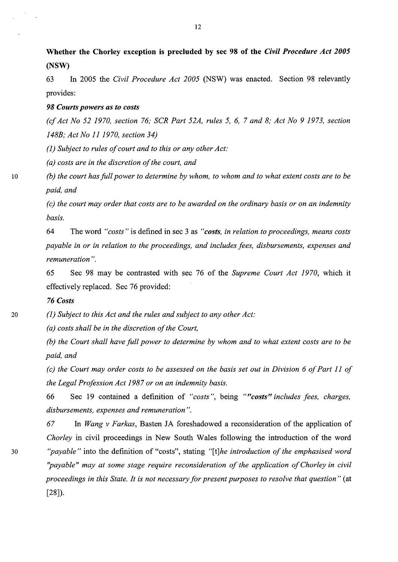**Whether the Chorley exception is precluded by sec 98 of the** *Civil Procedure Act 2005*  **(NSW)** 

63 In 2005 the *Civil Procedure Act 2005* (NSW) was enacted. Section 98 relevantly provides:

### *98 Courts powers as to costs*

*(cf Act No 52 1970, section 76; SCR Part 52A, rules 5, 6,* 7 *and 8; Act No 9 1973, section 148B; Act No 11 1970, section 34)* 

*(1) Subject to rules of court and to this or any other Act:* 

*(a) costs are in the discretion of the court, and* 

10 *(b) the court has full power to determine by whom, to whom and to what extent costs are to be paid, and* 

> *(c) the court may order that costs are to be awarded on the ordinary basis or on an indemnity basis.*

> 64 The word *"costs"* is defined in sec 3 as *"costs, in relation to proceedings, means costs payable in or in relation to the proceedings, and includes fees, disbursements, expenses and remuneration".*

> 65 Sec 98 may be contrasted with sec 76 of the *Supreme Court Act 1970,* which it effectively replaced. Sec 76 provided:

### *76 Costs*

20 *(1) Subject to this Act and the rules and subject to any other Act:* 

*(a) costs shall be in the discretion of the Court,* 

*(b) the Court shall have full power to determine by whom and to what extent costs are to be paid, and* 

*(c) the Court may order costs to be assessed on the basis set out in Division 6 of Part 11 of the Legal Profession Act 1987 or on an indemnity basis.* 

66 Sec 19 contained a definition of *"costs",* being *""costs" includes fees, charges, disbursements, expenses and remuneration".* 

*67* In *Wang v Farkas,* Basten JA foreshadowed a reconsideration of the application of *Chorley* in civil proceedings in New South Wales following the introduction of the word <sup>30</sup>*''payable"* into the definition of "costs", stating *"[t]he introduction of the emphasised word ''payable" may at some stage require reconsideration of the application of Chorley in civil proceedings in this State. It is not necessary for present purposes to resolve that question"* (at [28]).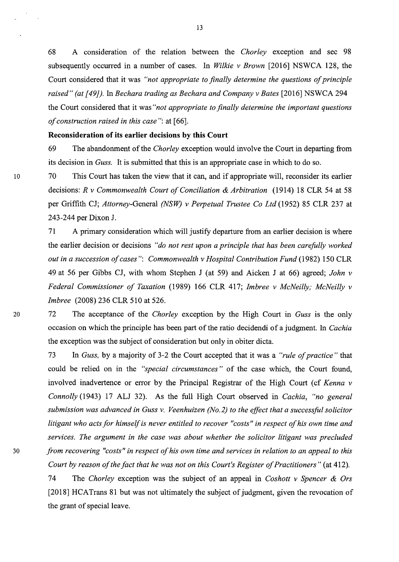68 A consideration of the relation between the *Chorley* exception and sec 98 subsequently occurred in a number of cases. In *Wilkie v Brown* [2016] NSWCA 128, the Court considered that it was *"not appropriate to finally determine the questions of principle raised" (at [491).* In *Bechara trading as Bechara and Company v Bates* [2016] NSWCA 294 the Court considered that it was *"not appropriate to finally determine the important questions of construction raised in this case"*: at [66].

### **Reconsideration of its earlier decisions by this Court**

69 The abandonment of the *Chorley* exception would involve the Court in departing from its decision in *Guss.* It is submitted that this is an appropriate case in which to do so.

10 70 This Court has taken the view that it can, and if appropriate will, reconsider its earlier decisions: *R v Commonwealth Court of Conciliation & Arbitration* (1914) 18 CLR 54 at 58 per Griffith CJ; *Attorney-General (NSW) v Perpetual Trustee Co Ltd* (1952) 85 CLR 237 at 243-244 per Dixon J.

> 71 A primary consideration which will justify departure from an earlier decision is where the earlier decision or decisions *"do not rest upon a principle that has been carefully worked out in a succession of cases": Commonwealth v Hospital Contribution Fund* (1982) 150 CLR 49 at 56 per Gibbs CJ, with whom Stephen J (at 59) and Aicken J at 66) agreed; *John v Federal Commissioner of Taxation* (1989) 166 CLR 417; *Jmbree v McNeilly; McNeilly v Jmbree* (2008) 236 CLR 510 at 526.

20 72 The acceptance of the *Chorley* exception by the High Court in *Guss* is the only occasion on which the principle has been part of the ratio decidendi of a judgment. In *Cachia*  the exception was the subject of consideration but only in obiter dicta.

73 In *Guss,* by a majority of 3-2 the Court accepted that it was a *"rule of practice"* that could be relied on in the *"special circumstances* " of the case which, the Court found, involved inadvertence or error by the Principal Registrar of the High Court (cf *Kenna v Connolly* (1943) 17 ALJ 32). As the full High Court observed in *Cachia, "no general submission was advanced in Guss v. Veenhuizen (No.2) to the effect that a successful solicitor litigant who acts for himself is never entitled to recover "costs" in respect of his own time and services. The argument in the case was about whether the solicitor litigant was precluded*  <sup>30</sup>*from recovering "costs" in respect of his own time and services in relation to an appeal to this Court by reason of the fact that he was not on this Court's Register of Practitioners"* (at 412).

> 74 The *Chorley* exception was the subject of an appeal in *Coshott v Spencer & Ors*  [2018] HCATrans 81 but was not ultimately the subject of judgment, given the revocation of the grant of special leave.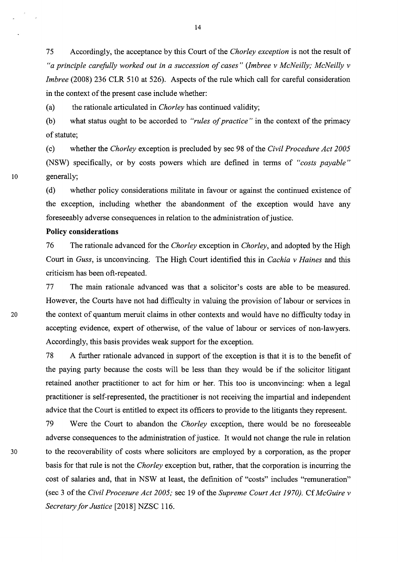75 Accordingly, the acceptance by this Court of the *Chorley exception* is not the result of *"a principle carefully worked out in a succession of cases" (lmbree v McNeilly; McNeilly v Imbree* (2008) 236 CLR 510 at 526). Aspects of the rule which call for careful consideration in the context of the present case include whether:

(a) the rationale articulated in *Chorley* has continued validity;

(b) what status ought to be accorded to *"rules of practice"* in the context of the primacy of statute;

(c) whether the *Chorley* exception is precluded by sec 98 of the *Civil Procedure Act 2005*  (NSW) specifically, or by costs powers which are defined in terms of *"costs payable"*  10 generally;

> ( d) whether policy considerations militate in favour or against the continued existence of the exception, including whether the abandonment of the exception would have any foreseeably adverse consequences in relation to the administration of justice.

### **Policy considerations**

76 The rationale advanced for the *Chorley* exception in *Chorley,* and adopted by the High Court in *Guss,* is unconvincing. The High Court identified this in *Cachia v Haines* and this criticism has been oft-repeated.

77 The main rationale advanced was that a solicitor's costs are able to be measured. However, the Courts have not had difficulty in valuing the provision of labour or services in 20 the context of quantum meruit claims in other contexts and would have no difficulty today in accepting evidence, expert of otherwise, of the value of labour or services of non-lawyers. Accordingly, this basis provides weak support for the exception.

> 78 A further rationale advanced in support of the exception is that it is to the benefit of the paying party because the costs will be less than they would be if the solicitor litigant retained another practitioner to act for him or her. This too is unconvincing: when a legal practitioner is self-represented, the practitioner is not receiving the impartial and independent advice that the Court is entitled to expect its officers to provide to the litigants they represent.

79 Were the Court to abandon the *Chorley* exception, there would be no foreseeable adverse consequences to the administration of justice. It would not change the rule in relation 30 to the recoverability of costs where solicitors are employed by a corporation, as the proper basis for that rule is not the *Chorley* exception but, rather, that the corporation is incurring the cost of salaries and, that in NSW at least, the definition of "costs" includes "remuneration" (sec 3 of the *Civil Procesure Act 2005;* sec 19 of the *Supreme Court Act 1970).* Cf *McGuire v Secretary for Justice* [2018] NZSC 116.